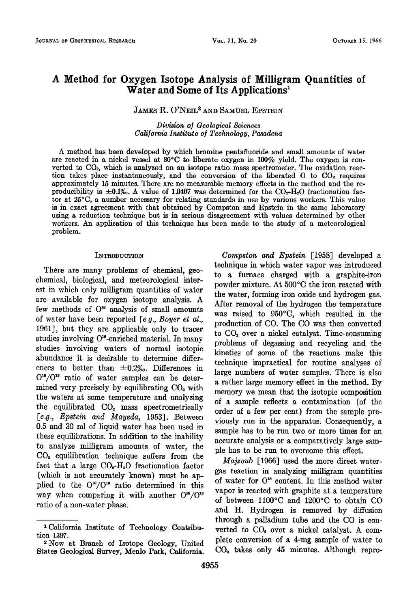# **A Method for Oxygen Isotope Analysis of Milligram Quantities of Water and Some of Its Applications •**

# **JAMES R. O'NEIL<sup>2</sup> AND SAMUEL EPSTEIN**

**Division o/ Geological Sciences California Institute o• Technology, Pasadena** 

**A method has been developed by which bromine pentafiuoride and small amounts of water**  are reacted in a nickel vessel at 80°C to liberate oxygen in 100% yield. The oxygen is converted to CO<sub>2</sub>, which is analyzed on an isotope ratio mass spectrometer. The oxidation reaction takes place instantaneously, and the conversion of the liberated O to CO<sub>2</sub> requires **approximately 15 minutes. There are no measurable memory effects in the method and the re**producibility is  $\pm 0.1\%$ . A value of 1.0407 was determined for the CO<sub>2</sub>-H<sub>2</sub>O fractionation factor at 25<sup>o</sup>C, a number necessary for relating standards in use by various workers. This value **is in exact agreement with that obtained by Compston and Epstein in the same laboratory using a reduction technique but is in serious disagreement with values determined by other workers. An application of this technique has been made to the study of a meteorological problem.** 

#### **INTRODUCTION**

**There are many problems of chemical, geochemical, biological, and meteorological interest in which only milligram quantities of water are available for oxygen isotope analysis. A**  few methods of  $O^{18}$  analysis of small amounts **of water have been reported [e g., Boyer et al., 1961], but they are applicable only to tracer**  studies involving O<sup>16</sup>-enriched material. In many **studies involving waters of normal isotopic abundance it is desirable to determine differ**ences to better than  $\pm 0.2%$ . Differences in  $O^{18}/O^{16}$  ratio of water samples can be determined very precisely by equilibrating  $CO<sub>2</sub>$  with **the waters at some temperature and analyzing the equilibrated C02 mass spectrometrically [e.g., Epstein and Mayeda, 1953]. Between 0.5 and 30 ml of liquid water has been used in these equilibrations. In addition to the inability to analyze milligram amounts of water, the CO• equilibration technique suffers from the**  fact that a large  $CO<sub>2</sub>$ -H<sub>2</sub>O fractionation factor **(which is not, accurately known) must be ap**plied to the  $O^{18}/O^{10}$  ratio determined in this way when comparing it with another  $O^{16}/O^{16}$ **ratio of a non-water phase.** 

**Compston and Epstein [1958] developed a technique in which water vapor was introduced to a furnace charged with a graphite-iron**  powder mixture. At 500°C the iron reacted with **the water, forming iron oxide and hydrogen gas. After removal of the hydrogen the temperature was raised to 950øC, which resulted in the production of CO. The CO was then converted to CO•. over a nickel catalyst. Time-consuming problems of degassing and recycling and the kinetics of some of the reactions make this technique impractical for routine analyses of large numbers of water samples. There is also a rather large memory effect in the method. By memory we mean that the isotopic composition of a sample reflects a contamination (of the order of a few per cent) from the sample previously run in the apparatus. Consequently, a sample has to be run two or more times for an accurate analysis or a comparatively large sample has to be run to overcome this effect.** 

**Majzoub [1966] used the more direct watergas reaction in analyzing milligram quantities**  of water for  $O^{18}$  content. In this method water **vapor is reacted with graphite at a temperature of between 1100øC and 1200øC to obtain CO and It. Hydrogen is removed by diffusion through a palladium tube and the CO is con**verted to CO<sub>2</sub> over a nickel catalyst. A com**plete conversion of a 4-rag sample of water to CO•. takes only 45 minutes. Although repro-**

<sup>&</sup>lt;sup>1</sup> California Institute of Technology Contribu**tion 1397.** 

**<sup>2</sup> Now at Branch of Isotope Geology, United States Geological Survey, Menlo Park, California.**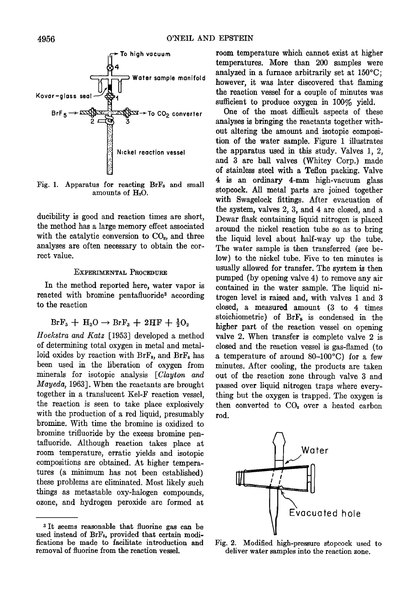

Fig. 1. Apparatus for reacting BrF<sub>5</sub> and small amounts of H<sub>2</sub>O.

**ducibility is good and reaction times are short, the method has a large memory effect associated**  with the catalytic conversion to CO<sub>2</sub>, and three **analyses are often necessary to obtain the correct value.** 

### **EXPERIMENTAL PROCEDURE**

**In the method reported here, water vapor is**  reacted with bromine pentafluoride<sup>3</sup> according **to the reaction** 

## $BrF_5 + H_2O \rightarrow BrF_3 + 2HF + \frac{1}{2}O_2$

**Hocksira and Katz [1953] developed a method of determining total oxygen in metal and metal**loid oxides by reaction with BrF<sub>8</sub>, and BrF<sub>5</sub> has **been used in the liberation of oxygen from minerals for isotopic analysis [Clayton and Mayeda, 1963]. When the reactants are brought together in a translucent Kcl-F reaction vessel, the reaction is seen to take place explosively with the production of a red liquid, presumably bromine. With time the bromine is oxidized to bromine trifiuoride by the excess bromine pentafiuoride. Although reaction takes place at room temperature, erratic yields and isotopic compositions are obtained. At higher temperatures (a minimum has not been established) these problems are eliminated. Most likely such things as roetastable oxy-halogen compounds, ozone, and hydrogen peroxide are formed at** 

**Figure 1998 however**, it was later discovered that flaming the reaction vessel for a couple of minutes was **room temperature which cannot exist at higher temperatures. More than 200 samples were**  analyzed in a furnace arbitrarily set at 150°C; **however, it was later discovered that flaming sufficient to produce oxygen in 100% yield.** 

> **One of the most difficult aspects of these analyses is bringing the reactants together without altering the amount and isotopic composition of the water sample. Figure 1 illustrates the apparatus used in this study. Valves 1, 2, and 3 are ball valves (Whitey Corp.) made of stainless steel with a Teflon packing. Valve 4 is an ordinary 4-mm high-vacuum glass stopcock. All metal parts are joined together with Swagelock fittings. After evacuation of the system, valves 2, 3, and 4 are dosed, and a Dewar flask containing liquid nitrogen is placed around the nickel reaction tube so as to bring the liquid level about half-way up the tube. The water sample is then transferred (see below) to the nickel tube. Five to ten minutes is usually allowed for transfer. The system is then pumped (by opening valve 4) to remove any air contained in the water sample. The liquid nitrogen level is raised and, with valves 1 and 3 elosed, a measured amount (3 to 4 times**  stoichiometric) of BrF<sub>5</sub> is condensed in the **higher part of the reaction vessel on opening valve 2. When transfer is complete valve 2 is closed and the reaction vessel is gas-flamed (to**  a temperature of around 80-100°C) for a few **minutes. After cooling, the products are taken out of the reaction zone through valve 3 and passed over liquid nitrogen traps where everything but the oxygen is trapped. The oxygen is**  then converted to CO<sub>2</sub> over a heated carbon **rod.**



**Fig. 2. Modified high-pressure stopcock used to deliver water samples into the reaction zone.** 

**<sup>•</sup> It seems reasonable that fluorine gas can be used instead of BrFs, provided that certain modifications be made to facilitate introduction and removal of fluorine from the reaction vessel.**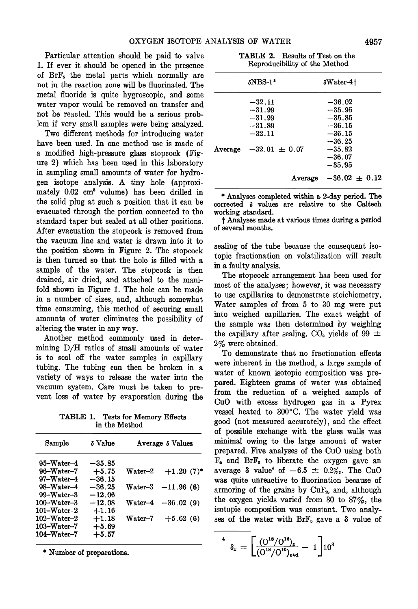**Particular attention should be paid to valve 1. If ever it should be opened in the presence of BrF, the metal parts which normally are not in the reaction zone will be fluorinated. The metal fluoride is quite hygroscopic, and some water vapor would be removed on transfer and not be reacted. This would be a serious problem if very small samples were being analyzed.** 

**Two different methods for introducing water have been used. In one method use is made of a modified high-pressure glass stopcock (Figure 2) which has been used in this laboratory in sampling small amounts of water for hydrogen isotope analysis. A tiny hole (approxi**mately  $0.02 \text{ cm}^3$  volume) has been drilled in the solid plug at such a position that it can be **evacuated through the portion connected to the standard taper but sealed at all other positions. After evacuation the stopcock is removed from the vacuum line and water is drawn into it to the position shown in Figure 2. The stopcock is then turned so that the hole is filled with a sample of the water. The stopcock is then drained, air dried, and attached to the manifold shown in Figure 1. The hole can be made in a number of sizes, and, although somewhat time consuming, this method of securing small amounts of water eliminates the possibility of altering the water in any way.** 

**Another method commonly used in determining D/I-I ratios of small amounts of water is to seal off the water samples in capillary tubing. The tubing can then be broken in a variety of ways to release the water into the vacuum system. Care must. be taken to prevent, loss of water by evaporation during the** 

**TABLE 1. Tests for Memory Effects in the Method** 

| Sample                    | δ Value  | Average δ Values |                     |  |  |
|---------------------------|----------|------------------|---------------------|--|--|
| 95-Water-4                | $-35.85$ |                  |                     |  |  |
| $96-Water-7$              | $+5.75$  | $\text{Water-2}$ | $+1.20(7)^*$        |  |  |
| 97-Water-4                | $-36.15$ |                  |                     |  |  |
| 98-Water-4                | $-36.25$ | Water-3          | $-11.96(6)$         |  |  |
| $99-Water-3$              | $-12.06$ |                  |                     |  |  |
| $100 - W$ ater-3          | $-12.08$ |                  | Water-4 $-36.02(9)$ |  |  |
| $101 - Water - 2$         | $+1.16$  |                  |                     |  |  |
| $102\hbox{--}$ Vater $-2$ | $+1.18$  | Water-7          | $+5.62(6)$          |  |  |
| $103 - Water - 7$         | $+5.69$  |                  |                     |  |  |
| $104\text{-Water}-7$      | $+5.57$  |                  |                     |  |  |
|                           |          |                  |                     |  |  |

**\* Number of preparations.** 

**TABLE 2. Results of Test on the Reprodueibility of the Method** 

|         | $\delta$ NBS-1*                                                               | $\delta$ Water-4†                                                                            |  |
|---------|-------------------------------------------------------------------------------|----------------------------------------------------------------------------------------------|--|
| Average | $-32.11$<br>$-31.99$<br>$-31.99$<br>$-31.89$<br>$-32.11$<br>$-32.01 \pm 0.07$ | $-36.02$<br>$-35.95$<br>$-35.85$<br>$-36.15$<br>$-36.15$<br>$-36.25$<br>$-35.82$<br>$-36.07$ |  |
|         | Average                                                                       | $-35.95$<br>$-36.02 \pm 0.12$                                                                |  |

**\* Analyses completed within a 2-day period. The corrected \$ values are relative to the Caltech working standard.** 

**i Analyses made at various times during a period of several months.** 

**sealing of the tube because the consequent isotopic fraetionation on volatilization will result, in a faulty analysis.** 

**The stopcock arrangement has been used for most of the analyses; however, it was necessary to use capillaries to demonstrate stoiehiometry. Water samples of from 5 to 30 mg were put into weighed capillaries. The exact weight of the sample was then determined by weighing**  the capillary after sealing.  $CO<sub>2</sub>$  yields of 99  $\pm$ **2% were obtained.** 

**To demonstrate that no fraetionation effects were inherent in the method, a large sample of water of known isotopic composition was prepared. Eighteen grams of water was obtained from the reduction of a weighed sample of CuO with excess hydrogen gas in a Pyrex**  vessel heated to 300°C. The water yield was **good (not, measured accurately), and the effect of possible exchange with the glass walls was**  minimal owing to the large amount of water **prepared. Five analyses of the CuO using both F•. and BrF, to liberate the oxygen gave an**  average  $\delta$  value<sup>4</sup> of  $-6.5 \pm 0.2\%$ . The CuO **was quite unreaetive to fluorination because of**  armoring of the grains by CuF<sub>2</sub>, and, although **the oxygen yields varied from 30 to 87%, the isotopic composition was constant. Two analy**ses of the water with  $BrF_s$  gave a  $\delta$  value of

 $\delta_x = \left[ \frac{(\frac{0^{18}}{O^{18}})^{16})_x}{(\frac{0^{18}}{O^{16}})_{xtd}} - 1 \right] 10^3$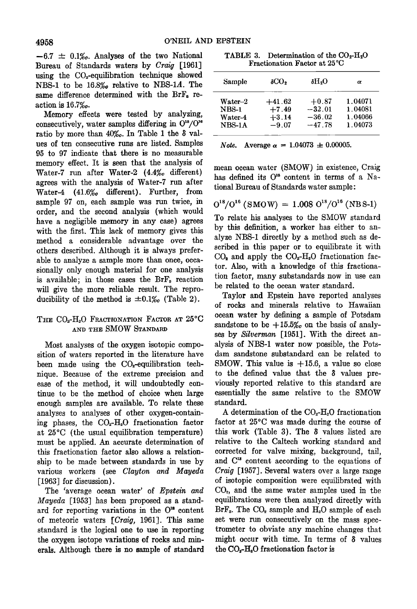$-6.7 \pm 0.1\%$ . Analyses of the two National **Bureau of Standards waters by Craig [1961] using the C02-equilibration technique showed NBS-1 to be 16.8%o relative to NBS-1A. The**  same difference determined with the BrF<sub>5</sub> re**action is 16.7%o.** 

**Memory effects were tested by analyzing,**  consecutively, water samples differing in  $O^{18}/O^{10}$ ratio by more than 40‰. In Table 1 the δ val**ues of ten consecutive runs are listed. Samples 95 to 97 indicate that there is no measurable memory effect. It is seen that the analysis of**  Water-7 run after Water-2 (4.4% different) **agrees with the analysis of Water-7 run after Water-4 (41.6%o different). Further, from sample 97 on, each sample was run twice, in order, and the second analysis (which would have a negligible memory in any case) agrees with the first. This lack of memory gives this method a considerable advantage over the others described. Although it is always preferable to analyze a sample more than once, occasionally only enough material for one analysis**  is available; in those cases the BrF<sub>5</sub> reaction **will give the more reliable result. The repro**ducibility of the method is  $\pm 0.1%$  (Table 2).

### THE CO<sub>2</sub>-H<sub>2</sub>O FRACTIONATION FACTOR AT 25°C **AND THE SMOW STANDARD**

**Most analyses of the oxygen isotopic composition of waters reported in the literature have**  been made using the CO<sub>2</sub>-equilibration tech**nique. Because of the extreme precision and ease of the method, it will undoubtedly continue to be the method of choice when large enough samples are available. To relate these analyses to analyses of other oxygen-contain**ing phases, the CO<sub>2</sub>-H<sub>2</sub>O fractionation factor **at 25øC (the usual equilibration temperature) must be applied. An accurate determination of this fractionation factor also allows a relationship to be made between standards in use by various workers (see Clayton and Mayeda [1963] for discussion).** 

**The 'average ocean water' of Epstein and Mayeda [1953] has been proposed as a stand**ard for reporting variations in the O<sup>18</sup> content **of meteoric waters [Craig, 1961]. This same standard is the logical one to use in reporting the oxygen isotope variations of rocks and minerals. Although there is no sample of standard** 

**TABLE 3.** Determination of the  $CO<sub>2</sub>-H<sub>2</sub>O$ **Fractionation Factor at 25øC** 

| Sample           | δCO,     | δH3O     | α       |
|------------------|----------|----------|---------|
| $\text{Water-2}$ | $+41.62$ | $+0.87$  | 1.04071 |
| <b>NBS-1</b>     | $+7.49$  | $-32.01$ | 1.04081 |
| Water-4          | $+3.14$  | $-36.02$ | 1.04066 |
| $NBS-1A$         | $-9.07$  | $-47.78$ | 1.04073 |

*Note.* Average  $\alpha = 1.04073 \pm 0.00005$ .

**mean ocean water (SMOW) in existence, Craig**  has defined its O<sup>18</sup> content in terms of a Na**tional Bureau of Standards water sample:** 

$$
O^{18}/O^{16} (SMOW) = 1.008 O^{18}/O^{16} (NBS-1)
$$

**To relate his analyses to the SMOW standard by this definition, a worker has either to analyze NBS-1 directly by a method such as described in this paper or to equilibrate it with**   $CO<sub>2</sub>$  and apply the  $CO<sub>2</sub>$ -H<sub>2</sub>O fractionation fac**tor. Also, with a knowledge of this fractionation factor, many substandards now in use can be related to the ocean water standard.** 

**Taylor and Epstein have reported analyses of rocks and minerals relative to Hawaiian ocean water by defining a sample of Potsdam**  sandstone to be  $+15.5%$  on the basis of analy**ses by Silverman [1951]. With the direct analysis of NBS-1 water now possible, the Potsdam sandstone substandard can be related to SMOW. This value is + 15.6, a value so dose**  to the defined value that the  $\delta$  values pre**viously reported relative to this standard are essentially the same relative to the SMOW standard.** 

A determination of the CO<sub>2</sub>-H<sub>2</sub>O fractionation **factor at 25øC was made during the course of this work (Table 3). The 8 values listed are relative to the Caltech working standard and corrected for valve mixing, background, tail,**  and C<sup>13</sup> content according to the equations of **Craig [1957]. Several waters over a large range of isotopic composition were equilibrated with**  CO<sub>2</sub>, and the same water samples used in the **equilibrations were then analyzed directly with**  BrF<sub>5</sub>. The CO<sub>2</sub> sample and H<sub>2</sub>O sample of each **set were run consecutively on the mass spectrometer to obviate any machine changes that**  might occur with time. In terms of  $\delta$  values **the CO•.-H•O fractionation factor is**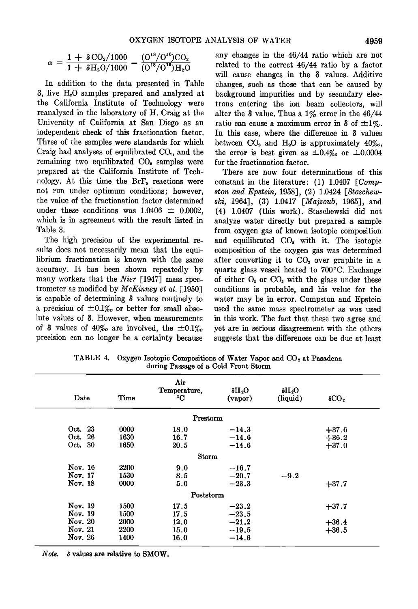$$
\alpha = \frac{1 + \delta \, \text{CO}_2 / 1000}{1 + \delta \, \text{H}_2 \text{O} / 1000} = \frac{(\text{O}^{18} / \text{O}^{16}) \text{CO}_2}{(\text{O}^{18} / \text{O}^{16}) \text{H}_2 \text{O}}
$$

**In addition to the data presented in Table 3, five H20 samples prepared and analyzed at the California Institute of Technology were reanalyzed in the laboratory of H. Craig at the University of California at San Diego as an independent check of this fractionation factor. Three of the samples were standards for which**  Craig had analyses of equilibrated CO<sub>2</sub>, and the **remaining two equilibrated CO• samples were prepared at the California Institute of Tech**nology. At this time the BrF<sub>5</sub> reactions were **not run under optimum conditions; however, the value of the fractionation factor determined**  under these conditions was  $1.0406 \pm 0.0002$ . **which is in agreement with the result listed in Table 3.** 

**The high precision of the experimental results does not necessarily mean that the equilibrium fractionation is known with the same accuracy. It has been shown repeatedly by many workers that the Nier [1947] mass spectrometer as modified by McKinney ei al. [1950] is capable of determining 3 values routinely to**  a precision of  $\pm 0.1%$  or better for small abso**lute values of 3. However, when measurements**  of  $\delta$  values of  $40\%$  are involved, the  $\pm 0.1\%$ **precision can no longer be a certainty because** 

**any changes in the 46/44 ratio which are not related to the correct 46/44 ratio by a factor will cause changes in the 3 values. Additive changes, such as those that can be caused by background impurities and by secondary electrons entering the ion beam collectors, will alter the 3 value. Thus a 1% error in the 46/44**  ratio can cause a maximum error in  $\delta$  of  $\pm 1\%$ . **In this case, where the difference in 8 values**  between CO<sub>2</sub> and H<sub>2</sub>O is approximately 40%<sub>o</sub>, the error is best given as  $\pm 0.4\%$  or  $\pm 0.0004$ **for the fraetionation factor.** 

**There are now four determinations of this**  constant in the literature: (1) 1.0407 [Comp**sion and Epstein, 1958], (2) 1.0424 [Staschewski, 1964], (3) 1.0417 [Majzoub, 1965], and (4) 1.0407 (this work). Staschewski did not analyze water directly but prepared a sample from oxygen gas of known isotopic composition and equilibrated CO• with it. The isotopic composition of the oxygen gas was determined after converting it to CO• over graphite in a quartz glass vessel heated to 700øC. Exchange**  of either  $O_2$  or  $CO_2$  with the glass under these **conditions is probable, and his value for the water may be in error. Compston and Epstein used the same mass spectrometer as was used in this work. The fact that these two agree and yet are in serious disagreement with the others suggests that the differences can be due at least** 

| Date    | Time        | Air<br>Temperature,<br>°C | $O_{\rm s}$ H $_{\rm \delta}$<br>(vapor) | $O_2H_3$<br>(liquid) | $\delta CO2$ |
|---------|-------------|---------------------------|------------------------------------------|----------------------|--------------|
|         |             | Prestorm                  |                                          |                      |              |
| Oct. 23 | 0000        | 18.0                      | $-14.3$                                  |                      | $+37.6$      |
| Oct. 26 | 1630        | 16.7                      | $-14.6$                                  |                      | $+36.2$      |
| Oct. 30 | 1650        | 20.5                      | $-14.6$                                  |                      | $+37.0$      |
|         |             | Storm                     |                                          |                      |              |
| Nov. 16 | 2200        | 9.0                       | $-16.7$                                  |                      |              |
| Nov. 17 | 1530        | 85                        | $-20.7$                                  | $-9.2$               |              |
| Nov. 18 | 0000        | 5.0                       | $-23.3$                                  |                      | $+37.7$      |
|         |             | Poststorm                 |                                          |                      |              |
| Nov. 19 | 1500        | 17.5                      | $-23.2$                                  |                      | $+37.7$      |
| Nov. 19 | 1500        | 17.5                      | $-23.5$                                  |                      |              |
| Nov. 20 | 2000        | 12.0                      | $-21.2$                                  |                      | $+36.4$      |
| Nov. 21 | 2200        | 15.0                      | $-19.5$                                  |                      | $+36.5$      |
| Nov. 26 | <b>1400</b> | 16.0                      | $-14.6$                                  |                      |              |

TABLE 4. Oxygen Isotopic Compositions of Water Vapor and CO<sub>2</sub> at Pasadena **during Passage of a Cold Front Storm** 

**Note. \$ values are relative to SMOW.**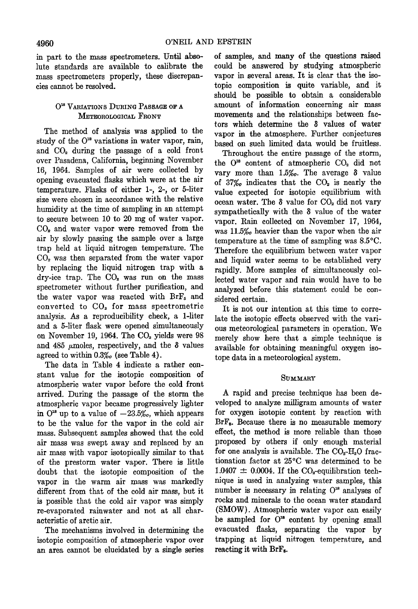**in part to the mass spectrometers. Until absolute standards are available to. calibrate the mass spectrometers properly, these discrepancies cannot be resolved.** 

## $O^{18}$  VARIATIONS DURING PASSAGE OF A **METEOROLOGICAL FRONT**

**The method of analysis was applied to the**  study of the O<sup>18</sup> variations in water vapor, rain, and CO<sub>2</sub> during the passage of a cold front **over Pasadena, California, beginning November 16, 1964. Samples of air were collected by opening evacuated flasks which were at the air temperature. Flasks of either 1-, 2-, or 5-liter size were chosen in accordance with the relative humidity at the time of sampling in an attempt to secure between 10 to 20 mg of water vapor. CO•. and water vapor were removed from the air by slowly passing the sample over a large trap held at liquid nitrogen temperature. The COs was then separated from the water vapor by replacing the liquid nitrogen trap with a dry-ice trap. The CO•. was run on the mass spectrometer without further purification, and**  the water vapor was reacted with BrF<sub>5</sub> and **converted to COs for mass spectrometric analysis. As a reproducibility check, a l-liter and a 5-liter flask were opened simultaneously**  on November 19, 1964. The CO<sub>2</sub> yields were 98 and  $485 \mu$ moles, respectively, and the  $\delta$  values **agreed to within 0.3%o (see Table 4).** 

**The data in Table 4 indicate a rather constant value for the isotopic composition of atmospheric water vapor before the cold front arrived. During the passage of the storm the atmospheric vapor became progressively lighter**  in  $O^{18}$  up to a value of  $-23.5\%$ , which appears **to be the value for the vapor in the cold air mass. Subsequent samples showed that the cold air mass was swept away and replaced by an air mass with vapor isotopically similar to that of the prestorm water vapor. There is little doubt that the isotopic composition of the vapor in the warm air mass was markedly different from that of the cold air mass, but it is possible that the cold air vapor was simply re-evaporated rainwater and not at all characteristic of arctic air.** 

**The mechanisms involved in determining the isotopic composition of atmospheric vapor over an area cannot be elucidated by a single series**  **of samples, and many of the questions raised could be answered by studying atmospheric vapor in several areas. It is clear that the isotopic composition is quite variable, and it should be possible to obtain a considerable amount of information concerning air mass movements and the relationships between factors which determine the 3 values of water vapor in the atmosphere. Further conjectures based on such limited data would be fruitless.** 

**Throughout the entire passage of the storm,**  the O<sup>18</sup> content of atmospheric CO<sub>2</sub> did not **vary more than 1.5%. The average**  $\delta$  **value of 37%• indicates that the CO•. is nearly the value expected for isotopic equilibrium with ocean water. The 3 value for CO• did not vary sympathetically with the 3 value of the water vapor. Rain collected on November 17, 1964,**  was 11.5% heavier than the vapor when the air **temperature at the time of sampling was 8.5øC. Therefore the equilibrium between water vapor and liquid water seems to be established very rapidly. More samples of simultaneously collected water vapor and rain would have to be analyzed before this statement could be considered certain.** 

**It is not our intention at this time to correlate the isotopic effects observed with the various meteorological parameters in operation. We merely show here that a simple technique is available for obtaining meaningful oxygen isotope data in a meteorological system.** 

### SUMMARY

**A rapid and precise technique has been developed to analyze milligram amounts of water for oxygen isotopic content by reaction with BrF,. Because there is no measurable memory effect, the method is more reliable than those proposed by others if only enough material**  for one analysis is available. The CO<sub>2</sub>-H<sub>2</sub>O frac**rionation factor at 25øC was determined to be**   $1.0407 \pm 0.0004$ . If the CO<sub>2</sub>-equilibration tech**nique is used in analyzing water samples, this**  number is necessary in relating  $O^{18}$  analyses of **rocks and minerals to the ocean water standard (SMOW). Atmospheric water vapor can easily**  be sampled for O<sup>18</sup> content by opening small **evacuated flasks, separating the vapor by**  trapping at liquid nitrogen temperature, and **reacting it with BrF,.**